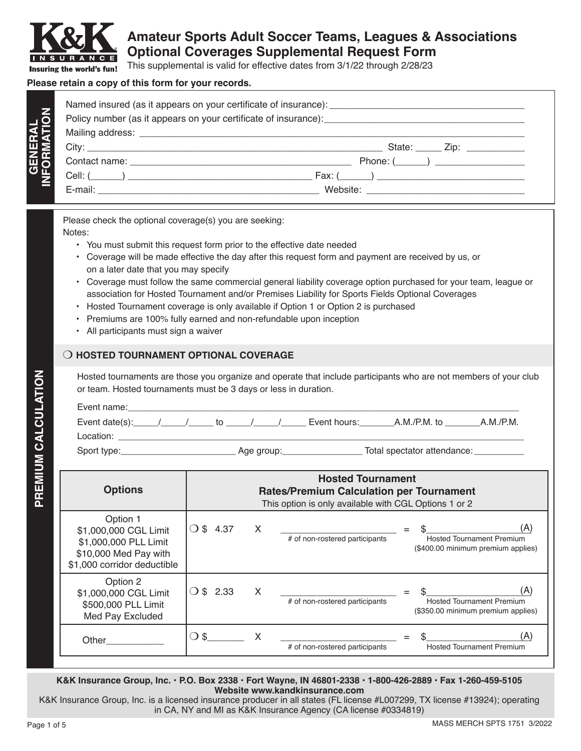

**GENERAL**

# **Amateur Sports Adult Soccer Teams, Leagues & Associations Optional Coverages Supplemental Request Form**

This supplemental is valid for effective dates from 3/1/22 through 2/28/23

#### **Please retain a copy of this form for your records.**

| Policy number (as it appears on your certificate of insurance): example and the set of insurance of insurance of insurance of insurance of insurance of insurance of insurance of insurance of insurance of the set of the set |
|--------------------------------------------------------------------------------------------------------------------------------------------------------------------------------------------------------------------------------|
|                                                                                                                                                                                                                                |
| State: $\qquad \qquad \text{Zip:} \qquad \qquad$                                                                                                                                                                               |
|                                                                                                                                                                                                                                |
| $Fax: ( __ ) __________$                                                                                                                                                                                                       |

Please check the optional coverage(s) you are seeking: Notes:

- You must submit this request form prior to the effective date needed
- Coverage will be made effective the day after this request form and payment are received by us, or on a later date that you may specify
- Coverage must follow the same commercial general liability coverage option purchased for your team, league or association for Hosted Tournament and/or Premises Liability for Sports Fields Optional Coverages
- Hosted Tournament coverage is only available if Option 1 or Option 2 is purchased
- Premiums are 100% fully earned and non-refundable upon inception
- All participants must sign a waiver

### **O HOSTED TOURNAMENT OPTIONAL COVERAGE**

Hosted tournaments are those you organize and operate that include participants who are not members of your club or team. Hosted tournaments must be 3 days or less in duration.

| Event name:    |  |    |            |              |                             |           |
|----------------|--|----|------------|--------------|-----------------------------|-----------|
| Event date(s): |  | tΩ |            | Event hours: | $A.M./P.M.$ to              | A.M./P.M. |
| Location:      |  |    |            |              |                             |           |
| Sport type:    |  |    | Age group: |              | Total spectator attendance: |           |

| <b>Options</b>                                                                                                     | <b>Hosted Tournament</b><br><b>Rates/Premium Calculation per Tournament</b><br>This option is only available with CGL Options 1 or 2 |   |                                |                                                                               |
|--------------------------------------------------------------------------------------------------------------------|--------------------------------------------------------------------------------------------------------------------------------------|---|--------------------------------|-------------------------------------------------------------------------------|
| Option 1<br>\$1,000,000 CGL Limit<br>\$1,000,000 PLL Limit<br>\$10,000 Med Pay with<br>\$1,000 corridor deductible | $\bigcirc$ \$ 4.37                                                                                                                   | X | # of non-rostered participants | (A)<br><b>Hosted Tournament Premium</b><br>(\$400.00 minimum premium applies) |
| Option 2<br>\$1,000,000 CGL Limit<br>\$500,000 PLL Limit<br>Med Pay Excluded                                       | \$ 2.33<br>$\left( \quad \right)$                                                                                                    | x | # of non-rostered participants | <b>Hosted Tournament Premium</b><br>(\$350.00 minimum premium applies)        |
| Other                                                                                                              | -S<br>- 1                                                                                                                            |   | # of non-rostered participants | <b>Hosted Tournament Premium</b>                                              |

**K&K Insurance Group, Inc. • P.O. Box 2338 • Fort Wayne, IN 46801-2338 • 1-800-426-2889 • Fax 1-260-459-5105 Website www.kandkinsurance.com**

K&K Insurance Group, Inc. is a licensed insurance producer in all states (FL license #L007299, TX license #13924); operating in CA, NY and MI as K&K Insurance Agency (CA license #0334819)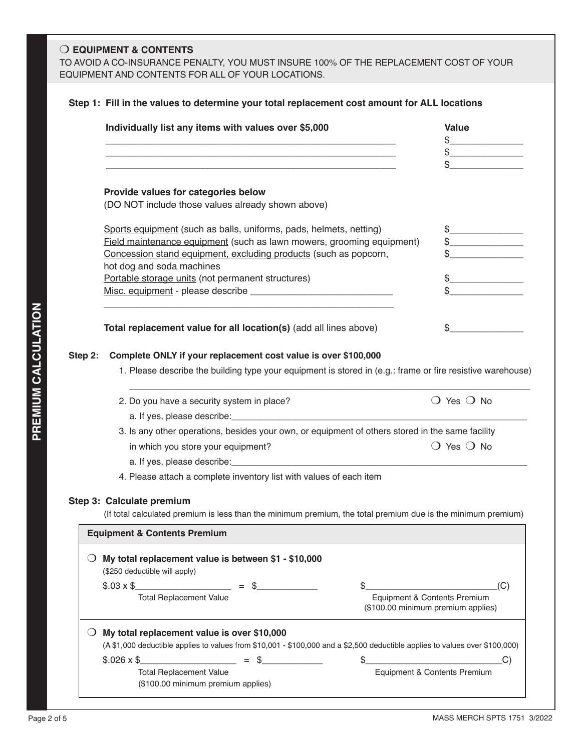### **O EQUIPMENT & CONTENTS**

TO AVOID A CO-INSURANCE PENALTY, YOU MUST INSURE 100% OF THE REPLACEMENT COST OF YOUR EQUIPMENT AND CONTENTS FOR ALL OF YOUR LOCATIONS.

|                  | Individually list any items with values over \$5,000                                                                                                                                                                                                     | <b>Value</b>                                                                                                                                                                                                                                                                                                                                        |
|------------------|----------------------------------------------------------------------------------------------------------------------------------------------------------------------------------------------------------------------------------------------------------|-----------------------------------------------------------------------------------------------------------------------------------------------------------------------------------------------------------------------------------------------------------------------------------------------------------------------------------------------------|
|                  |                                                                                                                                                                                                                                                          | $\begin{picture}(20,10) \put(0,0){\line(1,0){10}} \put(15,0){\line(1,0){10}} \put(15,0){\line(1,0){10}} \put(15,0){\line(1,0){10}} \put(15,0){\line(1,0){10}} \put(15,0){\line(1,0){10}} \put(15,0){\line(1,0){10}} \put(15,0){\line(1,0){10}} \put(15,0){\line(1,0){10}} \put(15,0){\line(1,0){10}} \put(15,0){\line(1,0){10}} \put(15,0){\line(1$ |
|                  |                                                                                                                                                                                                                                                          | $\mathfrak{S}$                                                                                                                                                                                                                                                                                                                                      |
|                  | Provide values for categories below                                                                                                                                                                                                                      |                                                                                                                                                                                                                                                                                                                                                     |
|                  | (DO NOT include those values already shown above)                                                                                                                                                                                                        |                                                                                                                                                                                                                                                                                                                                                     |
|                  | Sports equipment (such as balls, uniforms, pads, helmets, netting)                                                                                                                                                                                       | $\frac{1}{2}$                                                                                                                                                                                                                                                                                                                                       |
|                  | Field maintenance equipment (such as lawn mowers, grooming equipment)                                                                                                                                                                                    |                                                                                                                                                                                                                                                                                                                                                     |
|                  | Concession stand equipment, excluding products (such as popcorn,<br>hot dog and soda machines                                                                                                                                                            |                                                                                                                                                                                                                                                                                                                                                     |
|                  | Portable storage units (not permanent structures)                                                                                                                                                                                                        |                                                                                                                                                                                                                                                                                                                                                     |
|                  |                                                                                                                                                                                                                                                          |                                                                                                                                                                                                                                                                                                                                                     |
|                  | Total replacement value for all location(s) (add all lines above)                                                                                                                                                                                        | S.                                                                                                                                                                                                                                                                                                                                                  |
|                  | 2. Do you have a security system in place?                                                                                                                                                                                                               | $\bigcirc$ Yes $\bigcirc$ No                                                                                                                                                                                                                                                                                                                        |
|                  | a. If yes, please describe: experience and a series of the series of the series of the series of the series of<br>3. Is any other operations, besides your own, or equipment of others stored in the same facility<br>in which you store your equipment? | $\bigcirc$ Yes $\bigcirc$ No                                                                                                                                                                                                                                                                                                                        |
|                  | 4. Please attach a complete inventory list with values of each item<br>Step 3: Calculate premium<br>(If total calculated premium is less than the minimum premium, the total premium due is the minimum premium)                                         |                                                                                                                                                                                                                                                                                                                                                     |
|                  | <b>Equipment &amp; Contents Premium</b>                                                                                                                                                                                                                  |                                                                                                                                                                                                                                                                                                                                                     |
| $\left( \right)$ | My total replacement value is between \$1 - \$10,000<br>(\$250 deductible will apply)                                                                                                                                                                    |                                                                                                                                                                                                                                                                                                                                                     |
|                  | $=$ \$<br>$$.03 \times $$<br>S                                                                                                                                                                                                                           | (C)                                                                                                                                                                                                                                                                                                                                                 |
|                  | <b>Total Replacement Value</b>                                                                                                                                                                                                                           | Equipment & Contents Premium<br>(\$100.00 minimum premium applies)                                                                                                                                                                                                                                                                                  |
|                  | $\bigcirc$ My total replacement value is over \$10,000                                                                                                                                                                                                   |                                                                                                                                                                                                                                                                                                                                                     |
|                  | (A \$1,000 deductible applies to values from \$10,001 - \$100,000 and a \$2,500 deductible applies to values over \$100,000)                                                                                                                             |                                                                                                                                                                                                                                                                                                                                                     |
|                  | $$.026 \times $$<br>$=$ \$<br><b>Total Replacement Value</b>                                                                                                                                                                                             | $\frac{1}{2}$<br>C)<br>Equipment & Contents Premium                                                                                                                                                                                                                                                                                                 |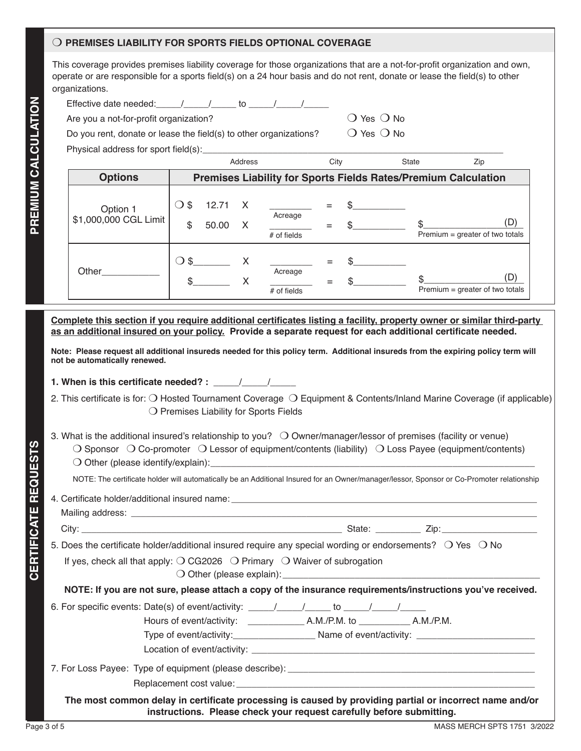#### $\bigcirc$  PREMISES LIABILITY FOR SPORTS FIELDS OPTIONAL COVERAGE

This coverage provides premises liability coverage for those organizations that are a not-for-profit organization and own, operate or are responsible for a sports field(s) on a 24 hour basis and do not rent, donate or lease the field(s) to other organizations.

|  | Effective date needed: |  |  |  |  |
|--|------------------------|--|--|--|--|
|--|------------------------|--|--|--|--|

Are you a not-for-profit organization? Motion  $\Omega$  Yes  $\Omega$  No

Do you rent, donate or lease the field(s) to other organizations?  $\Box$  Yes  $\Box$  No

Physical address for sport field(s):

|                                   |                                                  | Address                       | City | State | Zip                                                                   |  |
|-----------------------------------|--------------------------------------------------|-------------------------------|------|-------|-----------------------------------------------------------------------|--|
| <b>Options</b>                    |                                                  |                               |      |       | <b>Premises Liability for Sports Fields Rates/Premium Calculation</b> |  |
| Option 1<br>\$1,000,000 CGL Limit | 12.71 X<br>\$<br>$\left( \right)$<br>\$<br>50.00 | Acreage<br>$#$ of fields      |      |       | (D<br>Premium = greater of two totals                                 |  |
| Other                             | $\bigcirc$ \$                                    | X<br>Acreage<br>$#$ of fields |      |       | $P$ remium = greater of two totals                                    |  |

**Complete this section if you require additional certificates listing a facility, property owner or similar third-party as an additional insured on your policy. Provide a separate request for each additional certificate needed.** 

**Note: Please request all additional insureds needed for this policy term. Additional insureds from the expiring policy term will not be automatically renewed.** 

**1. When is this certificate needed? :**  $\frac{1}{2}$ 

- 2. This certificate is for:  $\bigcirc$  Hosted Tournament Coverage  $\bigcirc$  Equipment & Contents/Inland Marine Coverage (if applicable)  $\bigcirc$  Premises Liability for Sports Fields
- 3. What is the additional insured's relationship to you?  $\bigcirc$  Owner/manager/lessor of premises (facility or venue)  $\bigcirc$  Sponsor  $\bigcirc$  Co-promoter  $\bigcirc$  Lessor of equipment/contents (liability)  $\bigcirc$  Loss Payee (equipment/contents)  $\bigcirc$  Other (please identify/explain):

NOTE: The certificate holder will automatically be an Additional Insured for an Owner/manager/lessor, Sponsor or Co-Promoter relationship

4. Certificate holder/additional insured name: \_\_\_\_\_\_\_\_\_\_\_\_\_\_\_\_\_\_\_\_\_\_\_\_\_\_\_\_\_\_\_\_\_

Mailing address: \_\_\_\_\_\_\_\_\_\_\_\_\_\_\_\_\_\_\_\_\_\_\_\_\_\_\_\_\_\_\_\_\_\_\_\_\_\_\_\_\_\_\_\_\_\_\_\_\_\_\_\_\_\_\_\_\_\_\_\_\_\_\_\_\_\_\_\_\_\_\_\_\_\_\_\_\_\_\_\_\_

**CERTIFICATE REQUESTS**

**CERTIFICATE REQUESTS** 

City: \_\_\_\_\_\_\_\_\_\_\_\_\_\_\_\_\_\_\_\_\_\_\_\_\_\_\_\_\_\_\_\_\_\_\_\_\_\_\_\_\_\_\_\_\_\_\_\_\_\_\_\_ State: \_\_\_\_\_\_\_\_\_ Zip:\_\_\_\_\_\_\_\_\_\_\_\_\_\_\_\_\_\_\_

5. Does the certificate holder/additional insured require any special wording or endorsements?  $\circ$  Yes  $\circ$  No

If yes, check all that apply:  $\bigcirc$  CG2026  $\bigcirc$  Primary  $\bigcirc$  Waiver of subrogation

 $\bigcirc$  Other (please explain):

**NOTE: If you are not sure, please attach a copy of the insurance requirements/instructions you've received.**

6. For specific events: Date(s) of event/activity:  $\frac{1}{\sqrt{2}}$  to  $\frac{1}{\sqrt{2}}$ 

Hours of event/activity: \_\_\_\_\_\_\_\_\_\_\_ A.M./P.M. to \_\_\_\_\_\_\_\_\_\_ A.M./P.M.

Type of event/activity:\_\_\_\_\_\_\_\_\_\_\_\_\_\_\_\_ Name of event/activity: \_\_\_\_\_\_\_\_\_\_\_\_\_\_\_\_\_\_\_\_\_\_\_ Location of event/activity: \_\_\_\_\_

7. For Loss Payee: Type of equipment (please describe): \_\_\_\_\_\_\_\_\_\_\_\_\_\_\_\_\_\_\_\_\_\_\_\_\_

Replacement cost value: \_\_\_\_\_\_\_\_\_\_\_\_\_\_\_\_\_\_\_\_\_\_\_\_\_\_\_\_\_\_\_\_\_\_\_\_\_\_\_\_\_\_\_\_\_\_\_\_\_\_\_\_\_\_\_\_\_\_

**The most common delay in certificate processing is caused by providing partial or incorrect name and/or instructions. Please check your request carefully before submitting.**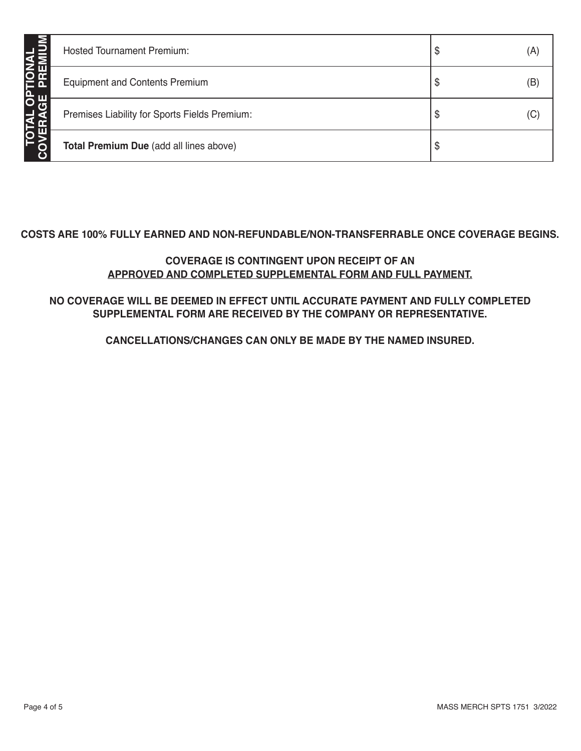| JŠ | <b>Hosted Tournament Premium:</b>             | Φ  | (A) |
|----|-----------------------------------------------|----|-----|
|    | <b>Equipment and Contents Premium</b>         | \$ | (B) |
|    | Premises Liability for Sports Fields Premium: | \$ | (C) |
|    | Total Premium Due (add all lines above)       | \$ |     |

## **COSTS ARE 100% FULLY EARNED AND NON-REFUNDABLE/NON-TRANSFERRABLE ONCE COVERAGE BEGINS.**

## **COVERAGE IS CONTINGENT UPON RECEIPT OF AN APPROVED AND COMPLETED SUPPLEMENTAL FORM AND FULL PAYMENT.**

# **NO COVERAGE WILL BE DEEMED IN EFFECT UNTIL ACCURATE PAYMENT AND FULLY COMPLETED SUPPLEMENTAL FORM ARE RECEIVED BY THE COMPANY OR REPRESENTATIVE.**

**CANCELLATIONS/CHANGES CAN ONLY BE MADE BY THE NAMED INSURED.**